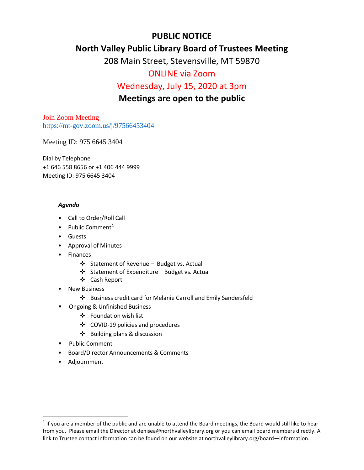# **PUBLIC NOTICE**

## **North Valley Public Library Board of Trustees Meeting**

208 Main Street, Stevensville, MT 59870

# ONLINE via Zoom

## Wednesday, July 15, 2020 at 3pm

## **Meetings are open to the public**

Join Zoom Meeting <https://mt-gov.zoom.us/j/97566453404>

Meeting ID: 975 6645 3404

Dial by Telephone +1 646 558 8656 or +1 406 444 9999 Meeting ID: 975 6645 3404

## *Agenda*

- Call to Order/Roll Call
- Public Comment<sup>[1](#page-0-0)</sup>
- Guests
- Approval of Minutes
- Finances
	- ❖ Statement of Revenue Budget vs. Actual
	- Statement of Expenditure Budget vs. Actual
	- Cash Report
- **New Business** 
	- Business credit card for Melanie Carroll and Emily Sandersfeld
- Ongoing & Unfinished Business
	- Foundation wish list
	- COVID-19 policies and procedures
	- Building plans & discussion
- Public Comment
- Board/Director Announcements & Comments
- Adjournment

<span id="page-0-0"></span> $1$  If you are a member of the public and are unable to attend the Board meetings, the Board would still like to hear from you. Please email the Director at denisea@northvalleylibrary.org or you can email board members directly. A link to Trustee contact information can be found on our website at northvalleylibrary.org/board—information.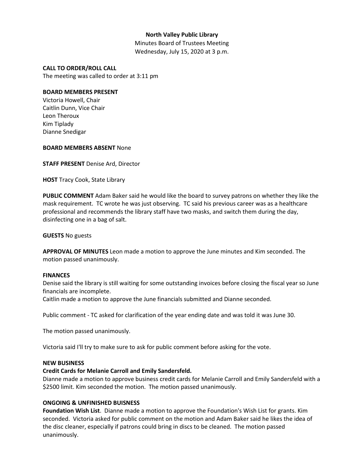## **North Valley Public Library**

Minutes Board of Trustees Meeting Wednesday, July 15, 2020 at 3 p.m.

#### **CALL TO ORDER/ROLL CALL**

The meeting was called to order at 3:11 pm

#### **BOARD MEMBERS PRESENT**

Victoria Howell, Chair Caitlin Dunn, Vice Chair Leon Theroux Kim Tiplady Dianne Snedigar

#### **BOARD MEMBERS ABSENT** None

**STAFF PRESENT** Denise Ard, Director

**HOST** Tracy Cook, State Library

**PUBLIC COMMENT** Adam Baker said he would like the board to survey patrons on whether they like the mask requirement. TC wrote he was just observing. TC said his previous career was as a healthcare professional and recommends the library staff have two masks, and switch them during the day, disinfecting one in a bag of salt.

**GUESTS** No guests

**APPROVAL OF MINUTES** Leon made a motion to approve the June minutes and Kim seconded. The motion passed unanimously.

### **FINANCES**

Denise said the library is still waiting for some outstanding invoices before closing the fiscal year so June financials are incomplete.

Caitlin made a motion to approve the June financials submitted and Dianne seconded.

Public comment - TC asked for clarification of the year ending date and was told it was June 30.

The motion passed unanimously.

Victoria said I'll try to make sure to ask for public comment before asking for the vote.

### **NEW BUSINESS**

### **Credit Cards for Melanie Carroll and Emily Sandersfeld.**

Dianne made a motion to approve business credit cards for Melanie Carroll and Emily Sandersfeld with a \$2500 limit. Kim seconded the motion. The motion passed unanimously.

### **ONGOING & UNFINISHED BUISNESS**

**Foundation Wish List**. Dianne made a motion to approve the Foundation's Wish List for grants. Kim seconded. Victoria asked for public comment on the motion and Adam Baker said he likes the idea of the disc cleaner, especially if patrons could bring in discs to be cleaned. The motion passed unanimously.